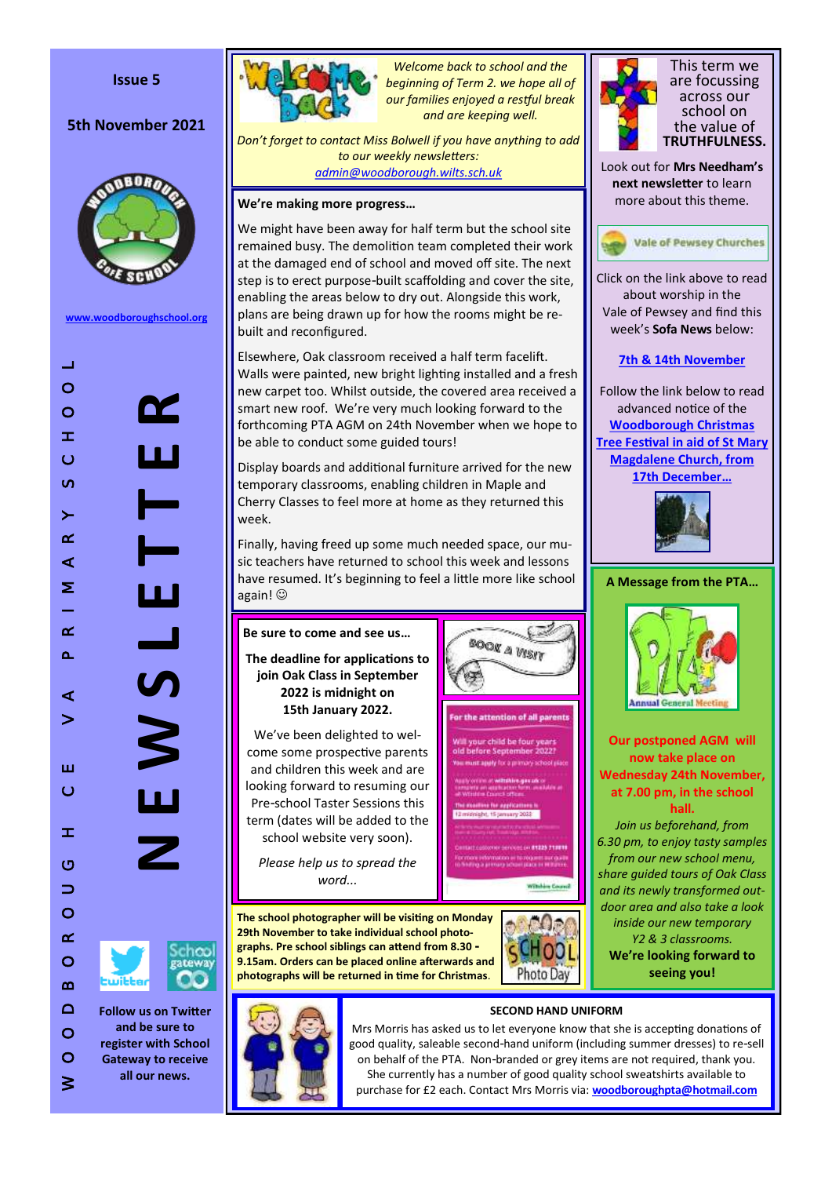### **Issue 5**

# **5th November 2021**



**[www.woodboroughschool.org](https://woodboroughschool.org/)**

W O O D B O R O U G H C E V A P R I M A R Y S C H O O L  $\pm 1$  $\circ$ **N E W S L E T T E R** nz  $\circ$  $\pm$  $\circ$  $\omega$  $\geq$  $\alpha$  $\prec$  $\blacksquare$ Σ  $\overline{\phantom{0}}$  $\alpha$  $\Delta$  $\boldsymbol{\eta}$  $\triangleleft$  $\geq$ ш  $\circ$  $\pm$  $\circ$  $\Rightarrow$  $\circ$  $\alpha$  $\circ$  $\boldsymbol{\underline{\infty}}$  $\Box$  $\circ$ 



**Follow us on Twitter and be sure to register with School Gateway to receive all our news.**

 $\circ$  $\geq$ 



*Welcome back to school and the beginning of Term 2. we hope all of our families enjoyed a restful break and are keeping well.*

*Don 't forget to contact Miss Bolwell if you have anything to add to our weekly newsletters: [admin@woodborough.wilts.sch.uk](mailto:admin@woodborough.wilts.sch.uk)*

## **We 're making more progress …**

We might have been away for half term but the school site remained busy. The demolition team completed their work at the damaged end of school and moved off site. The next step is to erect purpose -built scaffolding and cover the site, enabling the areas below to dry out. Alongside this work, plans are being drawn up for how the rooms might be rebuilt and reconfigured.

Elsewhere, Oak classroom received a half term facelift. Walls were painted, new bright lighting installed and a fresh new carpet too. Whilst outside, the covered area received a smart new roof. We 're very much looking forward to the forthcoming PTA AGM on 24th November when we hope to be able to conduct some guided tours!

Display boards and additional furniture arrived for the new temporary classrooms, enabling children in Maple and Cherry Classes to feel more at home as they returned this week.

Finally, having freed up some much needed space, our music teachers have returned to school this week and lessons have resumed. It 's beginning to feel a little more like school again!

# **Be sure to come and see us …**

**The deadline for applications to join Oak Class in September 2022 is midnight on 15th January 2022.**

We 've been delighted to welcome some prospective parents and children this week and are looking forward to resuming our Pre -school Taster Sessions this term (dates will be added to the school website very soon).

*Please help us to spread the word...*

**The school photographer will be visiting on Monday 29th November to take individual school photographs. Pre school siblings can attend from 8.30 - 9.15am. Orders can be placed online afterwards and photographs will be returned in time for Christmas** .



**Whiching Council** 

**BOOK A VISIT** 

r the attention of all parents ir child be fo



This term we are focussing across our school on the value of **TRUTHFULNESS.**

Look out for **Mrs Needham 's next newsletter** to learn more about this theme.



Click on the link above to read about worship in the Vale of Pewsey and find this week 's **Sofa News** below:

## **[7th & 14th November](https://www.valeofpewsey.org/wp-content/plugins/pdf-poster/pdfjs/web/viewer.php?file=https://www.valeofpewsey.org/wp-content/uploads/2021/11/Sofa-news-7th-November.pdf&download=true&print=&openfile=false)**

Follow the link below to read advanced notice of the **[Woodborough Christmas](https://woodboroughschool.org/parents/community-activities/)  [Tree Festival in aid of St Mary](https://woodboroughschool.org/parents/community-activities/)  [Magdalene Church, from](https://woodboroughschool.org/parents/community-activities/)  [17th December](https://woodboroughschool.org/parents/community-activities/) …**



**A Message from the PTA …**



**Our postponed AGM will now take place on Wednesday 24th November, at 7.00 pm, in the school hall.** 

*Join us beforehand, from 6.30 pm, to enjoy tasty samples from our new school menu, share guided tours of Oak Class and its newly transformed outdoor area and also take a look inside our new temporary Y2 & 3 classrooms.* **We 're looking forward to seeing you!**



Mrs Morris has asked us to let everyone know that she is accepting donations of good quality, saleable second -hand uniform (including summer dresses) to re -sell on behalf of the PTA. Non -branded or grey items are not required, thank you. She currently has a number of good quality school sweatshirts available to purchase for £2 each. Contact Mrs Morris via: **[woodboroughpta@hotmail.com](mailto:woodboroughpta@hotmail.com)**

**SECOND HAND UNIFORM**